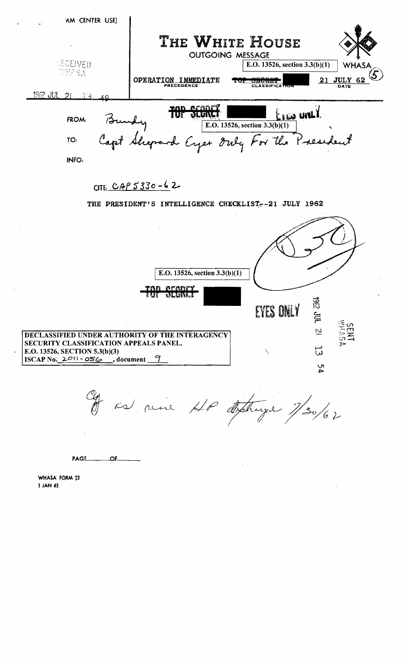

 $-OF$ PAGE\_\_

WHASA FORM 12 1 JAN 61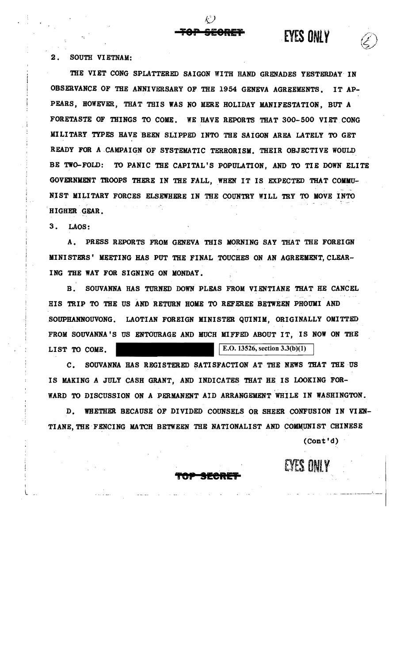2. SOUTH VIETNAM:

THE VIET CONG SPLATTERED SAIGON WITH HAND GRENADES YESTERDAY IN OBSERVANCE OF THE ANNIVERSARY OF THE 1954 GENEVA AGREEMENTS. IT AP-PEARS, HOWEVER, THAT THIS WAS NO MERE HOLIDAY MANIFESTATION. BUT A FORETASTE OF THINGS TO COME. WE HAVE REPORTS THAT 300-500 VIET CONG MILITARY TYPES HAVE BEEN SLIPPED INTO THE SAIGON AREA LATELY TO GET READY FOR A CAMPAIGN OF SYSTEMATIC TERRORISM. THEIR OBJECTIVE WOULD BE TWO-FOLD: TO PANIC THE CAPITAL'S POPULATION, AND TO TIE DOWN ELITE GOVERNMENT TROOPS THERE IN THE FALL, WHEN IT IS EXPECTED THAT COMMU-NIST MILITARY FORCES ELSEWHERE IN THE COUNTRY WILL TRY TO MOVE INTO HIGHER GEAR.

 $3_{-}$  $LAOS:$ 

 $\mathbf{A}$ PRESS REPORTS FROM GENEVA THIS MORNING SAY THAT THE FOREIGN MINISTERS' MEETING HAS PUT THE FINAL TOUCHES ON AN AGREEMENT, CLEAR-ING THE WAY FOR SIGNING ON MONDAY.

 $\mathbf{B}$ . SOUVANNA HAS TURNED DOWN PLEAS FROM VIENTIANE THAT HE CANCEL HIS TRIP TO THE US AND RETURN HOME TO REFEREE BETWEEN PHOUMI AND SOUPHANNOUVONG. LAOTIAN FOREIGN MINISTER QUINIM. ORIGINALLY OMITTED FROM SOUVANNA'S US ENTOURAGE AND MUCH MIFFED ABOUT IT, IS NOW ON THE E.O. 13526, section  $3.3(b)(1)$ LIST TO COME.

SOUVANNA HAS REGISTERED SATISFACTION AT THE NEWS THAT THE US  $c_{\rm A}$ IS MAKING A JULY CASH GRANT, AND INDICATES THAT HE IS LOOKING FOR-WARD TO DISCUSSION ON A PERMANENT AID ARRANGEMENT WHILE IN WASHINGTON.

D. WHETHER BECAUSE OF DIVIDED COUNSELS OR SHEER CONFUSION IN VIEN-TIANE, THE FENCING MATCH BETWEEN THE NATIONALIST AND COMMUNIST CHINESE

 $(Cont'd)$ 

EYES ONLY

**EYES ONLY**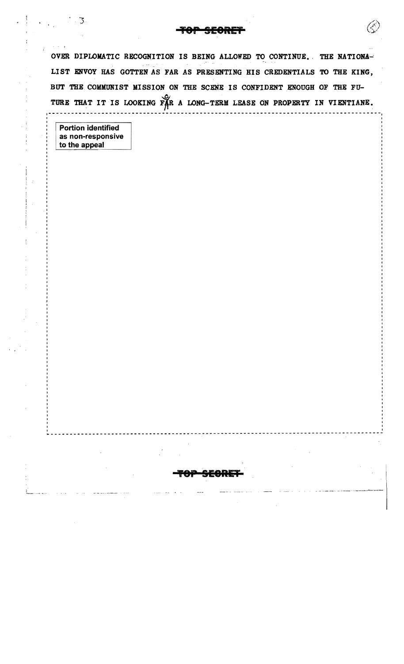OVER DIPLOMATIC RECOGNITION IS BEING ALLOWED TO CONTINUE. THE NATIONA-LIST ENVOY HAS GOTTEN AS FAR AS PRESENTING HIS CREDENTIALS TO THE KING, BUT THE COMMUNIST MISSION ON THE SCENE IS CONFIDENT ENOUGH OF THE FU-TURE THAT IT IS LOOKING FAR A LONG-TERM LEASE ON PROPERTY IN VIENTIANE.

**Portion identified** as non-responsive to the appeal

3.

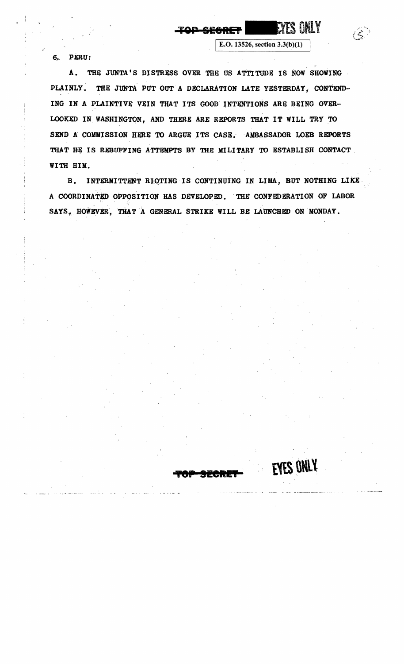6.., PERU:

A. THE JUNTA'S DISTRESS OVER THE US ATTITUDE IS NOW SHOWING PLAINLY. THE JUNTA PUT OUT A DECLARATION LATE YESTERDAY, CONTEND-ING IN A PLAINTIVE VEIN THAT ITS GOOD' INTENTIONS ARE BEING OVER-LOOKED IN. WASHINGTON, AND THERE ARE REPORTS THAT IT WILL TRY TO SEND A COMMISSION HERE TO ARGUE ITS CASE.. AMBASSADOR LOEB REPORTS THAT HE IS REBUFFING ATTEMPTS BY THE MILITARY TO ESTABLISH CONTACT WITH HIM.

TOP SECRET |

EVES ONLY

E.O. 13526, section  $3.3(b)(1)$ 

B. INTERMITTENT RIQTING IS CONTINUING IN LIMA, BUT NOTHING LIKE A COORDINATED OPPOSITION HAS DEVELOPED. THE CONFEDERATION OF LABOR SAYS, HOWEVER, THAT A GENERAL STRIKE WILL BE LAUNCHED ON MONDAY.

**TOP SECRET** 

**EYES ONLY**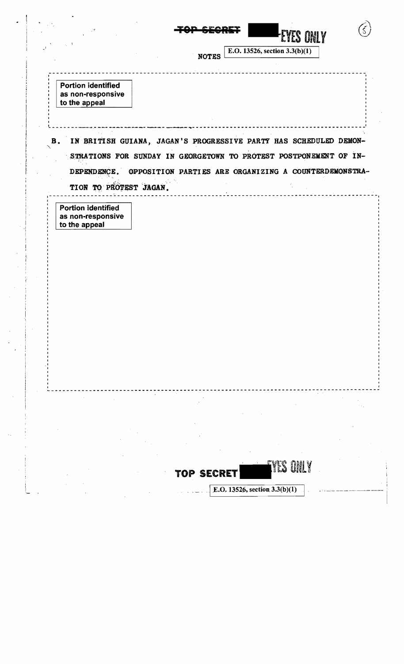|                                                                                           | EYES ONLY<br>E.O. 13526, section 3.3(b)(1)<br><b>NOTES</b>                                                                                                                                         |
|-------------------------------------------------------------------------------------------|----------------------------------------------------------------------------------------------------------------------------------------------------------------------------------------------------|
| <b>Portion identified</b><br>as non-responsive<br>to the appeal                           |                                                                                                                                                                                                    |
| DEPENDENCE.                                                                               | B. IN BRITISH GUIANA, JAGAN'S PROGRESSIVE PARTY HAS SCHEDULED DEMON-<br>STRATIONS FOR SUNDAY IN GEORGETOWN TO PROTEST POSTPONEMENT OF IN-<br>OPPOSITION PARTIES ARE ORGANIZING A COUNTERDEMONSTRA- |
| TION TO PROTEST JAGAN.<br><b>Portion identified</b><br>as non-responsive<br>to the appeal |                                                                                                                                                                                                    |
|                                                                                           |                                                                                                                                                                                                    |
|                                                                                           |                                                                                                                                                                                                    |
|                                                                                           |                                                                                                                                                                                                    |
|                                                                                           |                                                                                                                                                                                                    |
|                                                                                           | IYES ONLY<br>TOP SECRET<br>E.O. 13526, section 3.3(b)(1)                                                                                                                                           |

 $\vert \cdot \vert$ 

 $\frac{1}{2}$ 

 $\left\vert \cdot \right\vert$ 

 $\frac{1}{\sqrt{2}}$ 

 $\label{eq:1} \frac{1}{\sqrt{2\pi}}\int_0^1\frac{1}{\sqrt{2\pi}}\left(\frac{1}{\sqrt{2\pi}}\right)^2\frac{1}{\sqrt{2\pi}}\int_0^1\frac{1}{\sqrt{2\pi}}\left(\frac{1}{\sqrt{2\pi}}\right)^2\frac{1}{\sqrt{2\pi}}\int_0^1\frac{1}{\sqrt{2\pi}}\frac{1}{\sqrt{2\pi}}\frac{1}{\sqrt{2\pi}}\frac{1}{\sqrt{2\pi}}\frac{1}{\sqrt{2\pi}}\frac{1}{\sqrt{2\pi}}\frac{1}{\sqrt{2\pi}}\frac{1}{\sqrt{2\pi}}\frac{$ 

 $\frac{1}{2}$